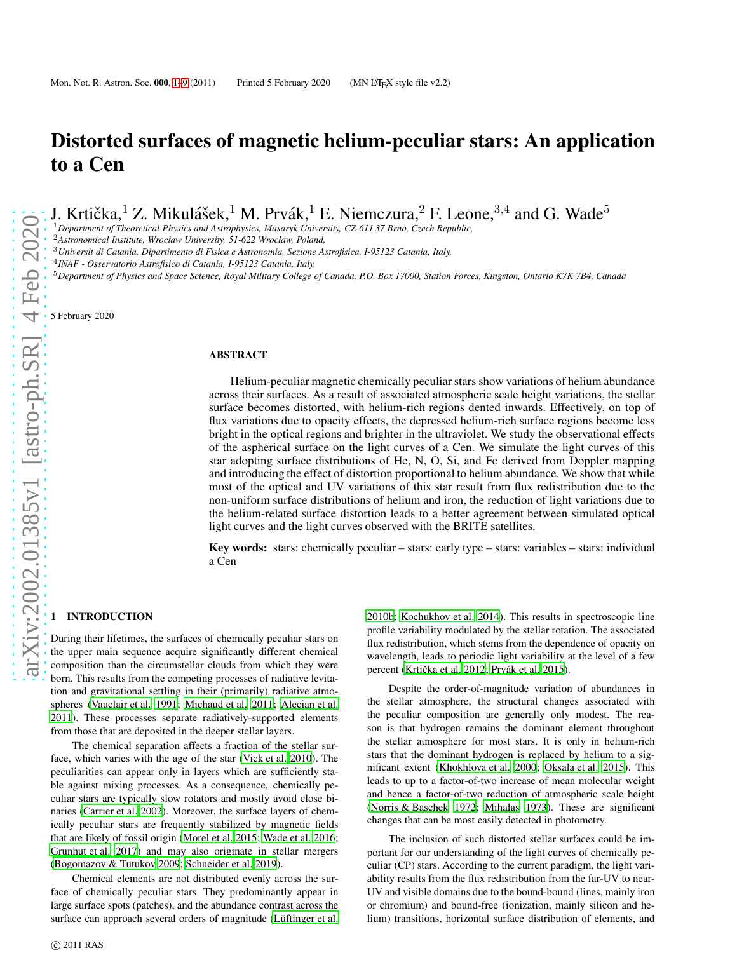# Distorted surfaces of magnetic helium-peculiar stars: An application to a Cen

J. Krtička,<sup>1</sup> Z. Mikulášek,<sup>1</sup> M. Prvák,<sup>1</sup> E. Niemczura,<sup>2</sup> F. Leone,<sup>3,4</sup> and G. Wade<sup>5</sup>

<sup>1</sup>*Department of Theoretical Physics and Astrophysics, Masaryk University, CZ-611 37 Brno, Czech Republic,*

<sup>2</sup>*Astronomical Institute, Wrocław University, 51-622 Wrocław, Poland,*

<sup>3</sup>*Universit di Catania, Dipartimento di Fisica e Astronomia, Sezione Astrofisica, I-95123 Catania, Italy,*

4 *INAF - Osservatorio Astrofisico di Catania, I-95123 Catania, Italy,*

<sup>5</sup>*Department of Physics and Space Science, Royal Military College of Canada, P.O. Box 17000, Station Forces, Kingston, Ontario K7K 7B4, Canada*

5 February 2020

## ABSTRACT

Helium-peculiar magnetic chemically peculiar stars show variations of helium abundance across their surfaces. As a result of associated atmospheric scale height variations, the stellar surface becomes distorted, with helium-rich regions dented inwards. Effectively, on top of flux variations due to opacity effects, the depressed helium-rich surface regions become less bright in the optical regions and brighter in the ultraviolet. We study the observational effects of the aspherical surface on the light curves of a Cen. We simulate the light curves of this star adopting surface distributions of He, N, O, Si, and Fe derived from Doppler mapping and introducing the effect of distortion proportional to helium abundance. We show that while most of the optical and UV variations of this star result from flux redistribution due to the non-uniform surface distributions of helium and iron, the reduction of light variations due to the helium-related surface distortion leads to a better agreement between simulated optical light curves and the light curves observed with the BRITE satellites.

Key words: stars: chemically peculiar – stars: early type – stars: variables – stars: individual a Cen

## <span id="page-0-0"></span>**INTRODUCTION**

During their lifetimes, the surfaces of chemically peculiar stars on the upper main sequence acquire significantly different chemical composition than the circumstellar clouds from which they were born. This results from the competing processes of radiative levitation and gravitational settling in their (primarily) radiative atmospheres [\(Vauclair et al. 1991](#page-8-0); [Michaud et al. 2011](#page-8-1); [Alecian et al.](#page-7-0) [2011\)](#page-7-0). These processes separate radiatively-supported elements from those that are deposited in the deeper stellar layers.

The chemical separation affects a fraction of the stellar surface, which varies with the age of the star [\(Vick et al. 2010](#page-8-2)). The peculiarities can appear only in layers which are sufficiently stable against mixing processes. As a consequence, chemically peculiar stars are typically slow rotators and mostly avoid close binaries [\(Carrier et al. 2002\)](#page-7-1). Moreover, the surface layers of chemically peculiar stars are frequently stabilized by magnetic fields that are likely of fossil origin [\(Morel et al. 2015;](#page-8-3) [Wade et al. 2016;](#page-8-4) [Grunhut et al. 2017](#page-7-2)) and may also originate in stellar mergers [\(Bogomazov & Tutukov 2009;](#page-7-3) [Schneider et al. 2019](#page-8-5)).

Chemical elements are not distributed evenly across the surface of chemically peculiar stars. They predominantly appear in large surface spots (patches), and the abundance contrast across the surface can approach several orders of magnitude (Lüftinger et al. [2010b](#page-8-6); [Kochukhov et al. 2014](#page-8-7)). This results in spectroscopic line profile variability modulated by the stellar rotation. The associated flux redistribution, which stems from the dependence of opacity on wavelength, leads to periodic light variability at the level of a few percent (Krtička et al. 2012; Prvák et al. 2015).

Despite the order-of-magnitude variation of abundances in the stellar atmosphere, the structural changes associated with the peculiar composition are generally only modest. The reason is that hydrogen remains the dominant element throughout the stellar atmosphere for most stars. It is only in helium-rich stars that the dominant hydrogen is replaced by helium to a significant extent [\(Khokhlova et al. 2000;](#page-8-10) [Oksala et al. 2015\)](#page-8-11). This leads to up to a factor-of-two increase of mean molecular weight and hence a factor-of-two reduction of atmospheric scale height [\(Norris & Baschek 1972;](#page-8-12) [Mihalas 1973\)](#page-8-13). These are significant changes that can be most easily detected in photometry.

The inclusion of such distorted stellar surfaces could be important for our understanding of the light curves of chemically peculiar (CP) stars. According to the current paradigm, the light variability results from the flux redistribution from the far-UV to near-UV and visible domains due to the bound-bound (lines, mainly iron or chromium) and bound-free (ionization, mainly silicon and helium) transitions, horizontal surface distribution of elements, and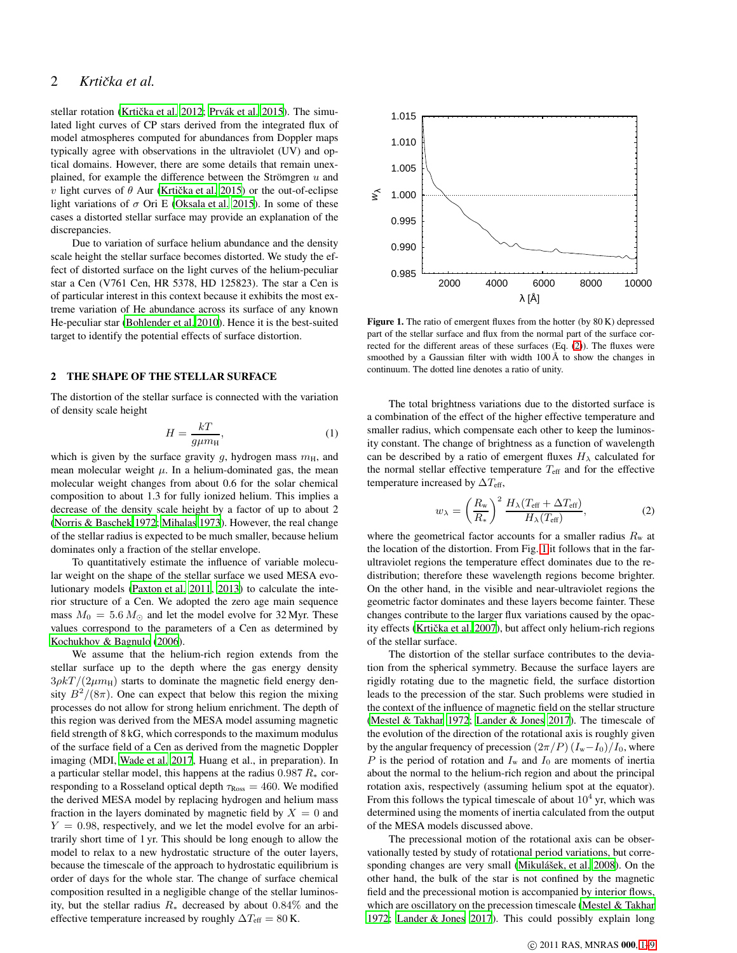## 2 *Krtička et al.*

stellar rotation (Krtička et al. 2012; Prvák et al. 2015). The simulated light curves of CP stars derived from the integrated flux of model atmospheres computed for abundances from Doppler maps typically agree with observations in the ultraviolet (UV) and optical domains. However, there are some details that remain unexplained, for example the difference between the Strömgren  $u$  and *v* light curves of  $θ$  Aur (Krtička et al. 2015) or the out-of-eclipse light variations of  $\sigma$  Ori E [\(Oksala et al. 2015](#page-8-11)). In some of these cases a distorted stellar surface may provide an explanation of the discrepancies.

Due to variation of surface helium abundance and the density scale height the stellar surface becomes distorted. We study the effect of distorted surface on the light curves of the helium-peculiar star a Cen (V761 Cen, HR 5378, HD 125823). The star a Cen is of particular interest in this context because it exhibits the most extreme variation of He abundance across its surface of any known He-peculiar star [\(Bohlender et al. 2010\)](#page-7-4). Hence it is the best-suited target to identify the potential effects of surface distortion.

## 2 THE SHAPE OF THE STELLAR SURFACE

The distortion of the stellar surface is connected with the variation of density scale height

$$
H = \frac{kT}{g\mu m_{\rm H}},\tag{1}
$$

which is given by the surface gravity g, hydrogen mass  $m<sub>H</sub>$ , and mean molecular weight  $\mu$ . In a helium-dominated gas, the mean molecular weight changes from about 0.6 for the solar chemical composition to about 1.3 for fully ionized helium. This implies a decrease of the density scale height by a factor of up to about 2 [\(Norris & Baschek 1972;](#page-8-12) [Mihalas 1973](#page-8-13)). However, the real change of the stellar radius is expected to be much smaller, because helium dominates only a fraction of the stellar envelope.

To quantitatively estimate the influence of variable molecular weight on the shape of the stellar surface we used MESA evolutionary models [\(Paxton et al. 2011](#page-8-15), [2013\)](#page-8-16) to calculate the interior structure of a Cen. We adopted the zero age main sequence mass  $M_0 = 5.6 M_{\odot}$  and let the model evolve for 32 Myr. These values correspond to the parameters of a Cen as determined by [Kochukhov & Bagnulo](#page-8-17) [\(2006](#page-8-17)).

We assume that the helium-rich region extends from the stellar surface up to the depth where the gas energy density  $3\rho kT/(2\mu m_{\rm H})$  starts to dominate the magnetic field energy density  $B^2/(8\pi)$ . One can expect that below this region the mixing processes do not allow for strong helium enrichment. The depth of this region was derived from the MESA model assuming magnetic field strength of 8 kG, which corresponds to the maximum modulus of the surface field of a Cen as derived from the magnetic Doppler imaging (MDI, [Wade et al. 2017](#page-8-18), Huang et al., in preparation). In a particular stellar model, this happens at the radius  $0.987 R_*$  corresponding to a Rosseland optical depth  $\tau_{\text{Ross}} = 460$ . We modified the derived MESA model by replacing hydrogen and helium mass fraction in the layers dominated by magnetic field by  $X = 0$  and  $Y = 0.98$ , respectively, and we let the model evolve for an arbitrarily short time of 1 yr. This should be long enough to allow the model to relax to a new hydrostatic structure of the outer layers, because the timescale of the approach to hydrostatic equilibrium is order of days for the whole star. The change of surface chemical composition resulted in a negligible change of the stellar luminosity, but the stellar radius  $R_*$  decreased by about 0.84% and the effective temperature increased by roughly  $\Delta T_{\rm eff} = 80$  K.



<span id="page-1-1"></span>Figure 1. The ratio of emergent fluxes from the hotter (by 80 K) depressed part of the stellar surface and flux from the normal part of the surface corrected for the different areas of these surfaces (Eq. [\(2\)](#page-1-0)). The fluxes were smoothed by a Gaussian filter with width  $100 \text{ Å}$  to show the changes in continuum. The dotted line denotes a ratio of unity.

The total brightness variations due to the distorted surface is a combination of the effect of the higher effective temperature and smaller radius, which compensate each other to keep the luminosity constant. The change of brightness as a function of wavelength can be described by a ratio of emergent fluxes  $H_{\lambda}$  calculated for the normal stellar effective temperature  $T_{\text{eff}}$  and for the effective temperature increased by  $\Delta T_{\rm eff}$ ,

<span id="page-1-0"></span>
$$
w_{\lambda} = \left(\frac{R_{\rm w}}{R_{\ast}}\right)^2 \frac{H_{\lambda}(T_{\rm eff} + \Delta T_{\rm eff})}{H_{\lambda}(T_{\rm eff})},\tag{2}
$$

where the geometrical factor accounts for a smaller radius  $R_w$  at the location of the distortion. From Fig. [1](#page-1-1) it follows that in the farultraviolet regions the temperature effect dominates due to the redistribution; therefore these wavelength regions become brighter. On the other hand, in the visible and near-ultraviolet regions the geometric factor dominates and these layers become fainter. These changes contribute to the larger flux variations caused by the opacity effects (Krtička et al. 2007), but affect only helium-rich regions of the stellar surface.

The distortion of the stellar surface contributes to the deviation from the spherical symmetry. Because the surface layers are rigidly rotating due to the magnetic field, the surface distortion leads to the precession of the star. Such problems were studied in the context of the influence of magnetic field on the stellar structure [\(Mestel & Takhar 1972;](#page-8-20) [Lander & Jones 2017\)](#page-8-21). The timescale of the evolution of the direction of the rotational axis is roughly given by the angular frequency of precession  $(2\pi/P)(I_w-I_0)/I_0$ , where  $P$  is the period of rotation and  $I_w$  and  $I_0$  are moments of inertia about the normal to the helium-rich region and about the principal rotation axis, respectively (assuming helium spot at the equator). From this follows the typical timescale of about  $10^4$  yr, which was determined using the moments of inertia calculated from the output of the MESA models discussed above.

The precessional motion of the rotational axis can be observationally tested by study of rotational period variations, but corresponding changes are very small (Mikulášek, et al. 2008). On the other hand, the bulk of the star is not confined by the magnetic field and the precessional motion is accompanied by interior flows, which are oscillatory on the precession timescale [\(Mestel &](#page-8-20) Takhar [1972](#page-8-20); [Lander & Jones 2017](#page-8-21)). This could possibly explain long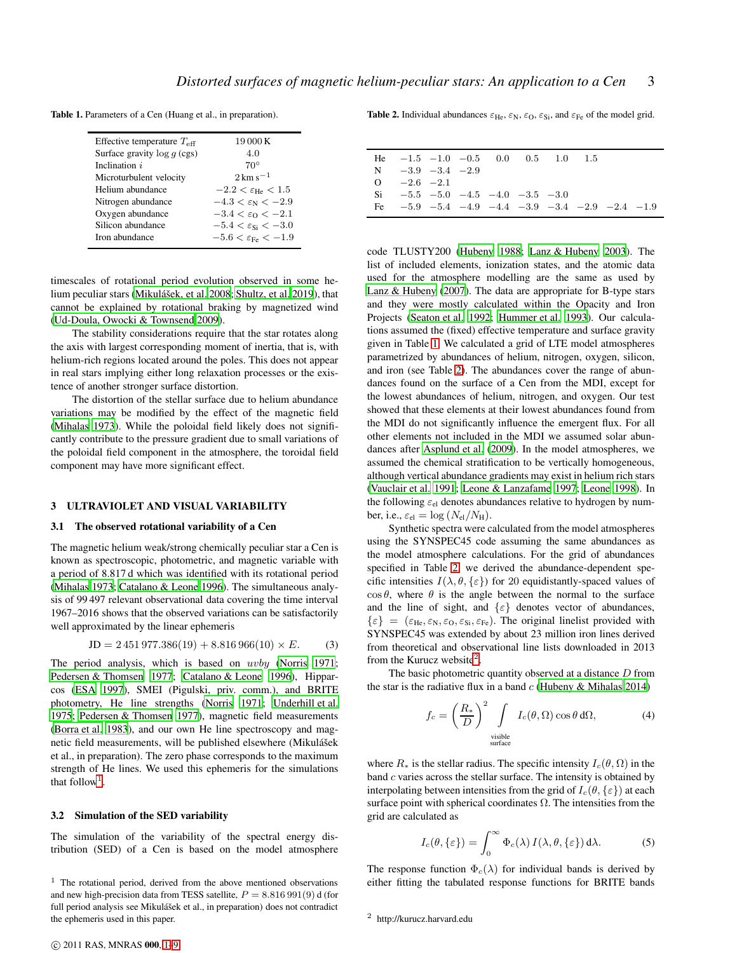Table 1. Parameters of a Cen (Huang et al., in preparation).

<span id="page-2-1"></span>

| Effective temperature $T_{\text{eff}}$ | 19 000 K                                |
|----------------------------------------|-----------------------------------------|
| Surface gravity $log q$ (cgs)          | 4.0                                     |
| Inclination i                          | $70^{\circ}$                            |
| Microturbulent velocity                | $2 \,\rm km\,s^{-1}$                    |
| Helium abundance                       | $-2.2 < \varepsilon_{\text{He}} < 1.5$  |
| Nitrogen abundance                     | $-4.3 < \varepsilon_{\rm N} < -2.9$     |
| Oxygen abundance                       | $-3.4 < \varepsilon_0 < -2.1$           |
| Silicon abundance                      | $-5.4 < \varepsilon_{Si} < -3.0$        |
| Iron abundance                         | $-5.6 < \varepsilon_{\text{Fe}} < -1.9$ |
|                                        |                                         |

timescales of rotational period evolution observed in some he-lium peculiar stars (Mikulášek, et al. 2008; [Shultz, et al. 2019\)](#page-8-23), that cannot be explained by rotational braking by magnetized wind [\(Ud-Doula, Owocki & Townsend 2009\)](#page-8-24).

The stability considerations require that the star rotates along the axis with largest corresponding moment of inertia, that is, with helium-rich regions located around the poles. This does not appear in real stars implying either long relaxation processes or the existence of another stronger surface distortion.

The distortion of the stellar surface due to helium abundance variations may be modified by the effect of the magnetic field [\(Mihalas 1973](#page-8-13)). While the poloidal field likely does not significantly contribute to the pressure gradient due to small variations of the poloidal field component in the atmosphere, the toroidal field component may have more significant effect.

## 3 ULTRAVIOLET AND VISUAL VARIABILITY

## 3.1 The observed rotational variability of a Cen

The magnetic helium weak/strong chemically peculiar star a Cen is known as spectroscopic, photometric, and magnetic variable with a period of 8.817 d which was identified with its rotational period [\(Mihalas 1973](#page-8-13); [Catalano & Leone 1996](#page-7-5)). The simultaneous analysis of 99 497 relevant observational data covering the time interval 1967–2016 shows that the observed variations can be satisfactorily well approximated by the linear ephemeris

$$
JD = 2\,451\,977.386(19) + 8.816\,966(10) \times E. \tag{3}
$$

The period analysis, which is based on *uvby* [\(Norris 1971;](#page-8-25) [Pedersen & Thomsen 1977](#page-8-26); [Catalano & Leone 1996](#page-7-5)), Hipparcos [\(ESA 1997\)](#page-7-6), SMEI (Pigulski, priv. comm.), and BRITE photometry, He line strengths [\(Norris 1971](#page-8-25); [Underhill et al.](#page-8-27) [1975;](#page-8-27) [Pedersen & Thomsen 1977\)](#page-8-26), magnetic field measurements [\(Borra et al. 1983](#page-7-7)), and our own He line spectroscopy and magnetic field measurements, will be published elsewhere (Mikulášek et al., in preparation). The zero phase corresponds to the maximum strength of He lines. We used this ephemeris for the simulations that follow<sup>[1](#page-2-0)</sup>.

#### 3.2 Simulation of the SED variability

The simulation of the variability of the spectral energy distribution (SED) of a Cen is based on the model atmosphere <span id="page-2-2"></span>Table 2. Individual abundances  $\varepsilon_{\text{He}}$ ,  $\varepsilon_{\text{N}}$ ,  $\varepsilon_{\text{O}}$ ,  $\varepsilon_{\text{Si}}$ , and  $\varepsilon_{\text{Fe}}$  of the model grid.

|    | He $-1.5$ $-1.0$ $-0.5$ 0.0 0.5 1.0 1.5                        |  |  |  |  |
|----|----------------------------------------------------------------|--|--|--|--|
|    | $N = -3.9 -3.4 -2.9$                                           |  |  |  |  |
|    | $Q = -2.6 -2.1$                                                |  |  |  |  |
|    | $\text{Si}$ $-5.5$ $-5.0$ $-4.5$ $-4.0$ $-3.5$ $-3.0$          |  |  |  |  |
| Fe | $-5.9$ $-5.4$ $-4.9$ $-4.4$ $-3.9$ $-3.4$ $-2.9$ $-2.4$ $-1.9$ |  |  |  |  |

code TLUSTY200 [\(Hubeny 1988](#page-7-8); [Lanz & Hubeny 2003](#page-8-28)). The list of included elements, ionization states, and the atomic data used for the atmosphere modelling are the same as used by [Lanz & Hubeny](#page-8-29) [\(2007](#page-8-29)). The data are appropriate for B-type stars and they were mostly calculated within the Opacity and Iron Projects [\(Seaton et al. 1992](#page-8-30); [Hummer et al. 1993](#page-8-31)). Our calculations assumed the (fixed) effective temperature and surface gravity given in Table [1.](#page-2-1) We calculated a grid of LTE model atmospheres parametrized by abundances of helium, nitrogen, oxygen, silicon, and iron (see Table [2\)](#page-2-2). The abundances cover the range of abundances found on the surface of a Cen from the MDI, except for the lowest abundances of helium, nitrogen, and oxygen. Our test showed that these elements at their lowest abundances found from the MDI do not significantly influence the emergent flux. For all other elements not included in the MDI we assumed solar abundances after [Asplund et al. \(2009\)](#page-7-9). In the model atmospheres, we assumed the chemical stratification to be vertically homogeneous, although vertical abundance gradients may exist in helium rich stars [\(Vauclair et al. 1991;](#page-8-0) [Leone & Lanzafame 1997](#page-8-32); [Leone 1998](#page-8-33)). In the following  $\varepsilon_{el}$  denotes abundances relative to hydrogen by number, i.e.,  $\varepsilon_{el} = \log (N_{el}/N_{\rm H}).$ 

Synthetic spectra were calculated from the model atmospheres using the SYNSPEC45 code assuming the same abundances as the model atmosphere calculations. For the grid of abundances specified in Table [2,](#page-2-2) we derived the abundance-dependent specific intensities  $I(\lambda, \theta, \{\varepsilon\})$  for 20 equidistantly-spaced values of  $\cos \theta$ , where  $\theta$  is the angle between the normal to the surface and the line of sight, and  $\{\varepsilon\}$  denotes vector of abundances,  $\{\varepsilon\} = (\varepsilon_{\text{He}}, \varepsilon_{\text{N}}, \varepsilon_{\text{O}}, \varepsilon_{\text{Si}}, \varepsilon_{\text{Fe}}).$  The original linelist provided with SYNSPEC45 was extended by about 23 million iron lines derived from theoretical and observational line lists downloaded in 2013 from the Kurucz website<sup>[2](#page-2-3)</sup>.

The basic photometric quantity observed at a distance  $D$  from the star is the radiative flux in a band  $c$  [\(Hubeny & Mihalas 2014](#page-7-10))

<span id="page-2-4"></span>
$$
f_c = \left(\frac{R_*}{D}\right)^2 \int\limits_{\text{visible} \atop \text{surface}} I_c(\theta, \Omega) \cos \theta \, d\Omega, \tag{4}
$$

where  $R_*$  is the stellar radius. The specific intensity  $I_c(\theta, \Omega)$  in the band c varies across the stellar surface. The intensity is obtained by interpolating between intensities from the grid of  $I_c(\theta, \{\varepsilon\})$  at each surface point with spherical coordinates  $\Omega$ . The intensities from the grid are calculated as

<span id="page-2-5"></span>
$$
I_c(\theta, \{\varepsilon\}) = \int_0^\infty \Phi_c(\lambda) I(\lambda, \theta, \{\varepsilon\}) d\lambda.
$$
 (5)

The response function  $\Phi_c(\lambda)$  for individual bands is derived by either fitting the tabulated response functions for BRITE bands

<span id="page-2-0"></span> $1$  The rotational period, derived from the above mentioned observations and new high-precision data from TESS satellite,  $P = 8.816991(9)$  d (for full period analysis see Mikulášek et al., in preparation) does not contradict the ephemeris used in this paper.

<span id="page-2-3"></span><sup>2</sup> http://kurucz.harvard.edu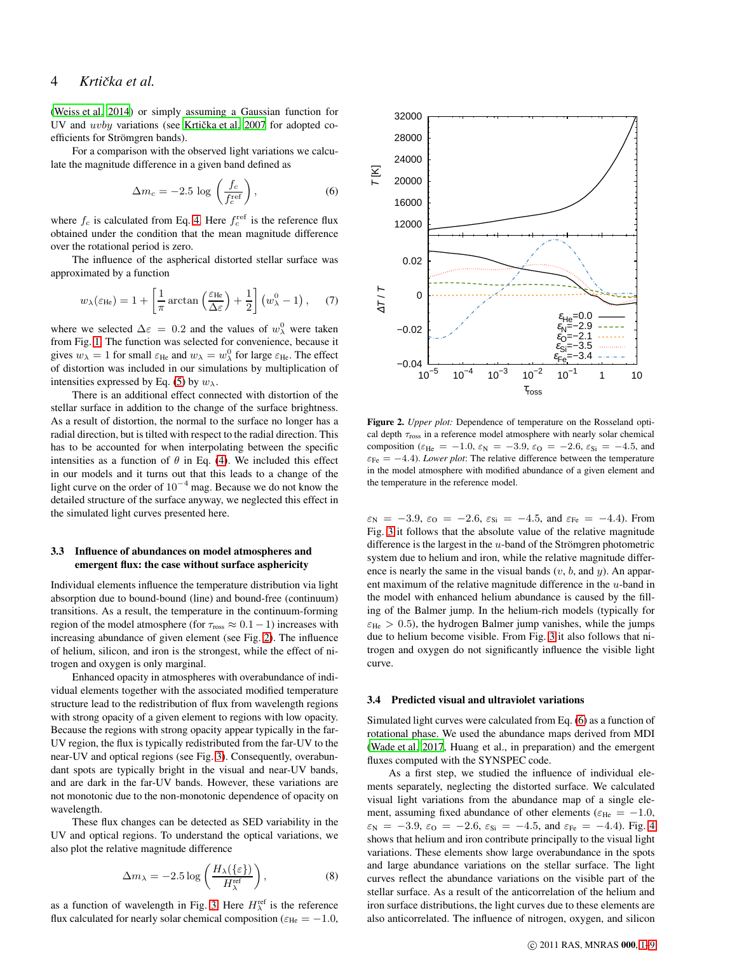## 4 *Krticka et al. ˇ*

[\(Weiss et al. 2014\)](#page-8-34) or simply assuming a Gaussian function for UV and uvby variations (see Krtička et al. 2007 for adopted coefficients for Strömgren bands).

For a comparison with the observed light variations we calculate the magnitude difference in a given band defined as

<span id="page-3-1"></span>
$$
\Delta m_c = -2.5 \log \left( \frac{f_c}{f_c^{\text{ref}}} \right),\tag{6}
$$

where  $f_c$  is calculated from Eq. [4.](#page-2-4) Here  $f_c^{\text{ref}}$  is the reference flux obtained under the condition that the mean magnitude difference over the rotational period is zero.

The influence of the aspherical distorted stellar surface was approximated by a function

<span id="page-3-3"></span>
$$
w_{\lambda}(\varepsilon_{\text{He}}) = 1 + \left[\frac{1}{\pi} \arctan\left(\frac{\varepsilon_{\text{He}}}{\Delta \varepsilon}\right) + \frac{1}{2}\right] \left(w_{\lambda}^{0} - 1\right), \quad (7)
$$

where we selected  $\Delta \varepsilon = 0.2$  and the values of  $w_\lambda^0$  were taken from Fig. [1.](#page-1-1) The function was selected for convenience, because it gives  $w_{\lambda} = 1$  for small  $\varepsilon_{\text{He}}$  and  $w_{\lambda} = w_{\lambda}^0$  for large  $\varepsilon_{\text{He}}$ . The effect of distortion was included in our simulations by multiplication of intensities expressed by Eq. [\(5\)](#page-2-5) by  $w_{\lambda}$ .

There is an additional effect connected with distortion of the stellar surface in addition to the change of the surface brightness. As a result of distortion, the normal to the surface no longer has a radial direction, but is tilted with respect to the radial direction. This has to be accounted for when interpolating between the specific intensities as a function of  $\theta$  in Eq. [\(4\)](#page-2-4). We included this effect in our models and it turns out that this leads to a change of the light curve on the order of 10<sup>−</sup><sup>4</sup> mag. Because we do not know the detailed structure of the surface anyway, we neglected this effect in the simulated light curves presented here.

## 3.3 Influence of abundances on model atmospheres and emergent flux: the case without surface asphericity

Individual elements influence the temperature distribution via light absorption due to bound-bound (line) and bound-free (continuum) transitions. As a result, the temperature in the continuum-forming region of the model atmosphere (for  $\tau_{\text{ross}} \approx 0.1 - 1$ ) increases with increasing abundance of given element (see Fig. [2\)](#page-3-0). The influence of helium, silicon, and iron is the strongest, while the effect of nitrogen and oxygen is only marginal.

Enhanced opacity in atmospheres with overabundance of individual elements together with the associated modified temperature structure lead to the redistribution of flux from wavelength regions with strong opacity of a given element to regions with low opacity. Because the regions with strong opacity appear typically in the far-UV region, the flux is typically redistributed from the far-UV to the near-UV and optical regions (see Fig. [3\)](#page-4-0). Consequently, overabundant spots are typically bright in the visual and near-UV bands, and are dark in the far-UV bands. However, these variations are not monotonic due to the non-monotonic dependence of opacity on wavelength.

These flux changes can be detected as SED variability in the UV and optical regions. To understand the optical variations, we also plot the relative magnitude difference

<span id="page-3-2"></span>
$$
\Delta m_{\lambda} = -2.5 \log \left( \frac{H_{\lambda}(\{\varepsilon\})}{H_{\lambda}^{\text{ref}}} \right), \tag{8}
$$

as a function of wavelength in Fig. [3.](#page-4-0) Here  $H_{\lambda}^{\text{ref}}$  is the reference flux calculated for nearly solar chemical composition ( $\varepsilon_{\text{He}} = -1.0$ ,



<span id="page-3-0"></span>Figure 2. *Upper plot:* Dependence of temperature on the Rosseland optical depth  $\tau_{\text{ross}}$  in a reference model atmosphere with nearly solar chemical composition ( $\varepsilon_{\text{He}} = -1.0$ ,  $\varepsilon_{\text{N}} = -3.9$ ,  $\varepsilon_{\text{O}} = -2.6$ ,  $\varepsilon_{\text{Si}} = -4.5$ , and  $\varepsilon_{\text{Fe}} = -4.4$ ). *Lower plot*: The relative difference between the temperature in the model atmosphere with modified abundance of a given element and the temperature in the reference model.

 $\varepsilon_N = -3.9$ ,  $\varepsilon_O = -2.6$ ,  $\varepsilon_{Si} = -4.5$ , and  $\varepsilon_{Fe} = -4.4$ ). From Fig. [3](#page-4-0) it follows that the absolute value of the relative magnitude difference is the largest in the  $u$ -band of the Strömgren photometric system due to helium and iron, while the relative magnitude difference is nearly the same in the visual bands  $(v, b, \text{ and } y)$ . An apparent maximum of the relative magnitude difference in the  $u$ -band in the model with enhanced helium abundance is caused by the filling of the Balmer jump. In the helium-rich models (typically for  $\varepsilon_{\text{He}} > 0.5$ ), the hydrogen Balmer jump vanishes, while the jumps due to helium become visible. From Fig. [3](#page-4-0) it also follows that nitrogen and oxygen do not significantly influence the visible light curve.

#### 3.4 Predicted visual and ultraviolet variations

Simulated light curves were calculated from Eq. [\(6\)](#page-3-1) as a function of rotational phase. We used the abundance maps derived from MDI [\(Wade et al. 2017,](#page-8-18) Huang et al., in preparation) and the emergent fluxes computed with the SYNSPEC code.

As a first step, we studied the influence of individual elements separately, neglecting the distorted surface. We calculated visual light variations from the abundance map of a single element, assuming fixed abundance of other elements ( $\varepsilon_{\text{He}} = -1.0$ ,  $\varepsilon_N = -3.9, \, \varepsilon_0 = -2.6, \, \varepsilon_{Si} = -4.5, \, \text{and} \, \varepsilon_{Fe} = -4.4$ ). Fig. [4](#page-5-0) shows that helium and iron contribute principally to the visual light variations. These elements show large overabundance in the spots and large abundance variations on the stellar surface. The light curves reflect the abundance variations on the visible part of the stellar surface. As a result of the anticorrelation of the helium and iron surface distributions, the light curves due to these elements are also anticorrelated. The influence of nitrogen, oxygen, and silicon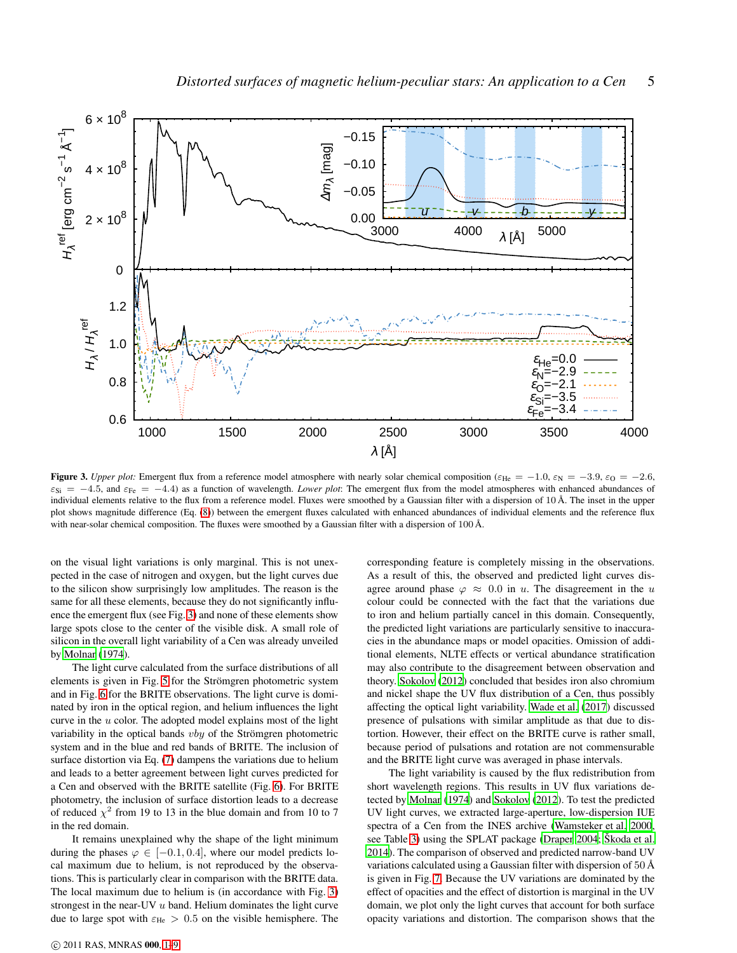

<span id="page-4-0"></span>**Figure 3.** *Upper plot:* Emergent flux from a reference model atmosphere with nearly solar chemical composition ( $\varepsilon_{\text{He}} = -1.0$ ,  $\varepsilon_{\text{N}} = -3.9$ ,  $\varepsilon_{\text{O}} = -2.6$ ,  $\varepsilon_{\text{Si}} = -4.5$ , and  $\varepsilon_{\text{Fe}} = -4.4$ ) as a function of wavelength. *Lower plot*: The emergent flux from the model atmospheres with enhanced abundances of individual elements relative to the flux from a reference model. Fluxes were smoothed by a Gaussian filter with a dispersion of  $10 \text{ Å}$ . The inset in the upper plot shows magnitude difference (Eq. [\(8\)](#page-3-2)) between the emergent fluxes calculated with enhanced abundances of individual elements and the reference flux with near-solar chemical composition. The fluxes were smoothed by a Gaussian filter with a dispersion of 100 Å.

on the visual light variations is only marginal. This is not unexpected in the case of nitrogen and oxygen, but the light curves due to the silicon show surprisingly low amplitudes. The reason is the same for all these elements, because they do not significantly influence the emergent flux (see Fig. [3\)](#page-4-0) and none of these elements show large spots close to the center of the visible disk. A small role of silicon in the overall light variability of a Cen was already unveiled by [Molnar \(1974\)](#page-8-35).

The light curve calculated from the surface distributions of all elements is given in Fig. [5](#page-5-1) for the Strömgren photometric system and in Fig. [6](#page-5-2) for the BRITE observations. The light curve is dominated by iron in the optical region, and helium influences the light curve in the  $u$  color. The adopted model explains most of the light variability in the optical bands  $vby$  of the Strömgren photometric system and in the blue and red bands of BRITE. The inclusion of surface distortion via Eq. [\(7\)](#page-3-3) dampens the variations due to helium and leads to a better agreement between light curves predicted for a Cen and observed with the BRITE satellite (Fig. [6\)](#page-5-2). For BRITE photometry, the inclusion of surface distortion leads to a decrease of reduced  $\chi^2$  from 19 to 13 in the blue domain and from 10 to 7 in the red domain.

It remains unexplained why the shape of the light minimum during the phases  $\varphi \in [-0.1, 0.4]$ , where our model predicts local maximum due to helium, is not reproduced by the observations. This is particularly clear in comparison with the BRITE data. The local maximum due to helium is (in accordance with Fig. [3\)](#page-4-0) strongest in the near-UV u band. Helium dominates the light curve due to large spot with  $\varepsilon_{\text{He}} > 0.5$  on the visible hemisphere. The

c 2011 RAS, MNRAS 000, [1–](#page-0-0)9

corresponding feature is completely missing in the observations. As a result of this, the observed and predicted light curves disagree around phase  $\varphi \approx 0.0$  in u. The disagreement in the u colour could be connected with the fact that the variations due to iron and helium partially cancel in this domain. Consequently, the predicted light variations are particularly sensitive to inaccuracies in the abundance maps or model opacities. Omission of additional elements, NLTE effects or vertical abundance stratification may also contribute to the disagreement between observation and theory. [Sokolov \(2012\)](#page-8-36) concluded that besides iron also chromium and nickel shape the UV flux distribution of a Cen, thus possibly affecting the optical light variability. [Wade et al. \(2017](#page-8-18)) discussed presence of pulsations with similar amplitude as that due to distortion. However, their effect on the BRITE curve is rather small, because period of pulsations and rotation are not commensurable and the BRITE light curve was averaged in phase intervals.

The light variability is caused by the flux redistribution from short wavelength regions. This results in UV flux variations detected by [Molnar \(1974\)](#page-8-35) and [Sokolov](#page-8-36) [\(2012](#page-8-36)). To test the predicted UV light curves, we extracted large-aperture, low-dispersion IUE spectra of a Cen from the INES archive [\(Wamsteker et al. 2000](#page-8-37), see Table [3\)](#page-5-3) using the SPLAT package [\(Draper 2004](#page-7-11); [Skoda et al.](#page-8-38) [2014](#page-8-38)). The comparison of observed and predicted narrow-band UV variations calculated using a Gaussian filter with dispersion of 50 Å is given in Fig. [7.](#page-6-0) Because the UV variations are dominated by the effect of opacities and the effect of distortion is marginal in the UV domain, we plot only the light curves that account for both surface opacity variations and distortion. The comparison shows that the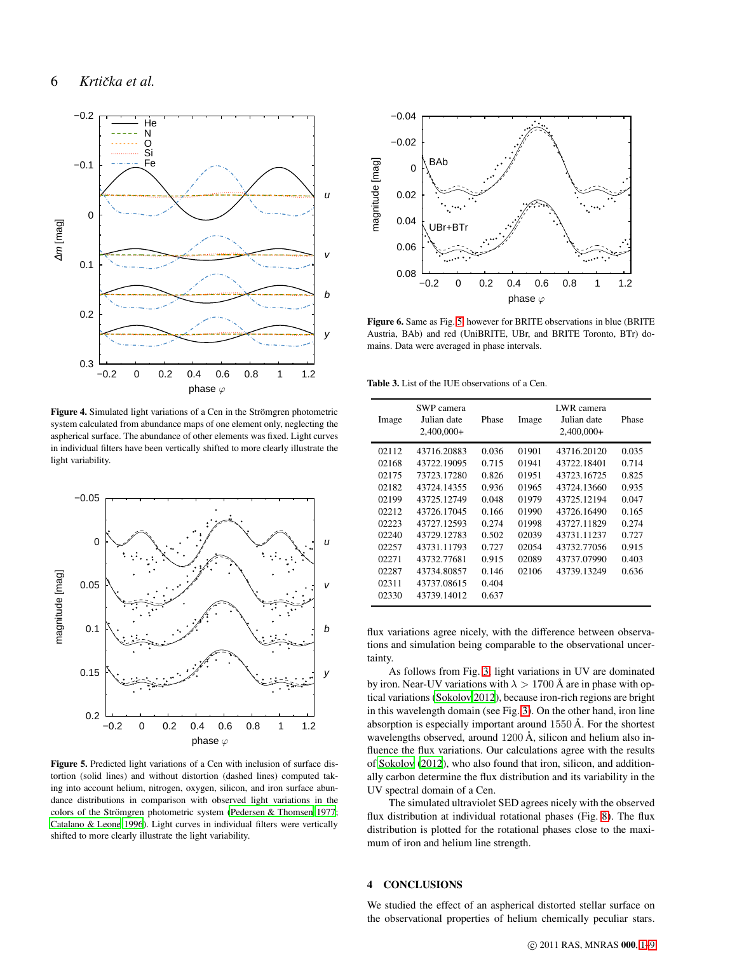

<span id="page-5-0"></span>Figure 4. Simulated light variations of a Cen in the Strömgren photometric system calculated from abundance maps of one element only, neglecting the aspherical surface. The abundance of other elements was fixed. Light curves in individual filters have been vertically shifted to more clearly illustrate the light variability.



<span id="page-5-1"></span>Figure 5. Predicted light variations of a Cen with inclusion of surface distortion (solid lines) and without distortion (dashed lines) computed taking into account helium, nitrogen, oxygen, silicon, and iron surface abundance distributions in comparison with observed light variations in the colors of the Strömgren photometric system [\(Pedersen & Thomsen 1977](#page-8-26); [Catalano & Leone 1996](#page-7-5)). Light curves in individual filters were vertically shifted to more clearly illustrate the light variability.



<span id="page-5-2"></span>Figure 6. Same as Fig. [5,](#page-5-1) however for BRITE observations in blue (BRITE Austria, BAb) and red (UniBRITE, UBr, and BRITE Toronto, BTr) domains. Data were averaged in phase intervals.

Table 3. List of the IUE observations of a Cen.

<span id="page-5-3"></span>

| Image | SWP camera<br>Julian date<br>$2,400,000+$ | Phase | Image | LWR camera<br>Julian date<br>$2,400,000+$ | Phase |
|-------|-------------------------------------------|-------|-------|-------------------------------------------|-------|
| 02112 | 43716.20883                               | 0.036 | 01901 | 43716.20120                               | 0.035 |
| 02168 | 43722.19095                               | 0.715 | 01941 | 43722.18401                               | 0.714 |
| 02175 | 73723.17280                               | 0.826 | 01951 | 43723.16725                               | 0.825 |
| 02182 | 43724.14355                               | 0.936 | 01965 | 43724.13660                               | 0.935 |
| 02199 | 43725.12749                               | 0.048 | 01979 | 43725.12194                               | 0.047 |
| 02212 | 43726.17045                               | 0.166 | 01990 | 43726.16490                               | 0.165 |
| 02223 | 43727.12593                               | 0.274 | 01998 | 43727.11829                               | 0.274 |
| 02240 | 43729.12783                               | 0.502 | 02039 | 43731.11237                               | 0.727 |
| 02257 | 43731.11793                               | 0.727 | 02054 | 43732.77056                               | 0.915 |
| 02271 | 43732.77681                               | 0.915 | 02089 | 43737.07990                               | 0.403 |
| 02287 | 43734.80857                               | 0.146 | 02106 | 43739.13249                               | 0.636 |
| 02311 | 43737.08615                               | 0.404 |       |                                           |       |
| 02330 | 43739.14012                               | 0.637 |       |                                           |       |

flux variations agree nicely, with the difference between observations and simulation being comparable to the observational uncertainty.

As follows from Fig. [3,](#page-4-0) light variations in UV are dominated by iron. Near-UV variations with  $\lambda > 1700$  Å are in phase with optical variations [\(Sokolov 2012](#page-8-36)), because iron-rich regions are bright in this wavelength domain (see Fig. [3\)](#page-4-0). On the other hand, iron line absorption is especially important around  $1550 \text{ Å}$ . For the shortest wavelengths observed, around  $1200 \text{ Å}$ , silicon and helium also influence the flux variations. Our calculations agree with the results of [Sokolov \(2012\)](#page-8-36), who also found that iron, silicon, and additionally carbon determine the flux distribution and its variability in the UV spectral domain of a Cen.

The simulated ultraviolet SED agrees nicely with the observed flux distribution at individual rotational phases (Fig. [8\)](#page-7-12). The flux distribution is plotted for the rotational phases close to the maximum of iron and helium line strength.

## 4 CONCLUSIONS

We studied the effect of an aspherical distorted stellar surface on the observational properties of helium chemically peculiar stars.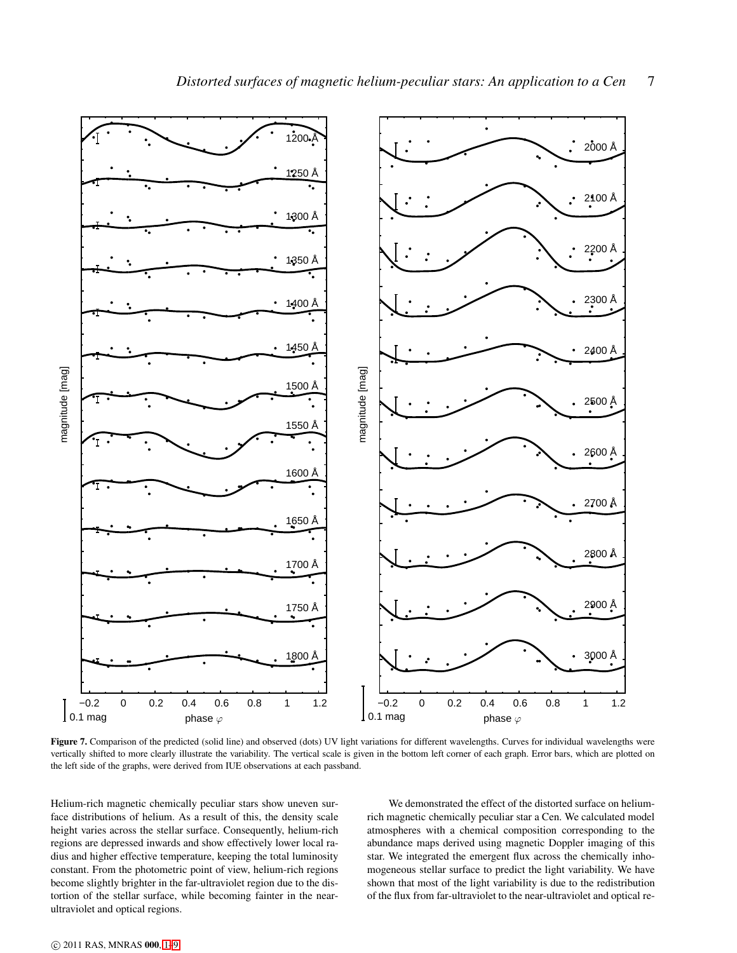

<span id="page-6-0"></span>Figure 7. Comparison of the predicted (solid line) and observed (dots) UV light variations for different wavelengths. Curves for individual wavelengths were vertically shifted to more clearly illustrate the variability. The vertical scale is given in the bottom left corner of each graph. Error bars, which are plotted on the left side of the graphs, were derived from IUE observations at each passband.

Helium-rich magnetic chemically peculiar stars show uneven surface distributions of helium. As a result of this, the density scale height varies across the stellar surface. Consequently, helium-rich regions are depressed inwards and show effectively lower local radius and higher effective temperature, keeping the total luminosity constant. From the photometric point of view, helium-rich regions become slightly brighter in the far-ultraviolet region due to the distortion of the stellar surface, while becoming fainter in the nearultraviolet and optical regions.

We demonstrated the effect of the distorted surface on heliumrich magnetic chemically peculiar star a Cen. We calculated model atmospheres with a chemical composition corresponding to the abundance maps derived using magnetic Doppler imaging of this star. We integrated the emergent flux across the chemically inhomogeneous stellar surface to predict the light variability. We have shown that most of the light variability is due to the redistribution of the flux from far-ultraviolet to the near-ultraviolet and optical re-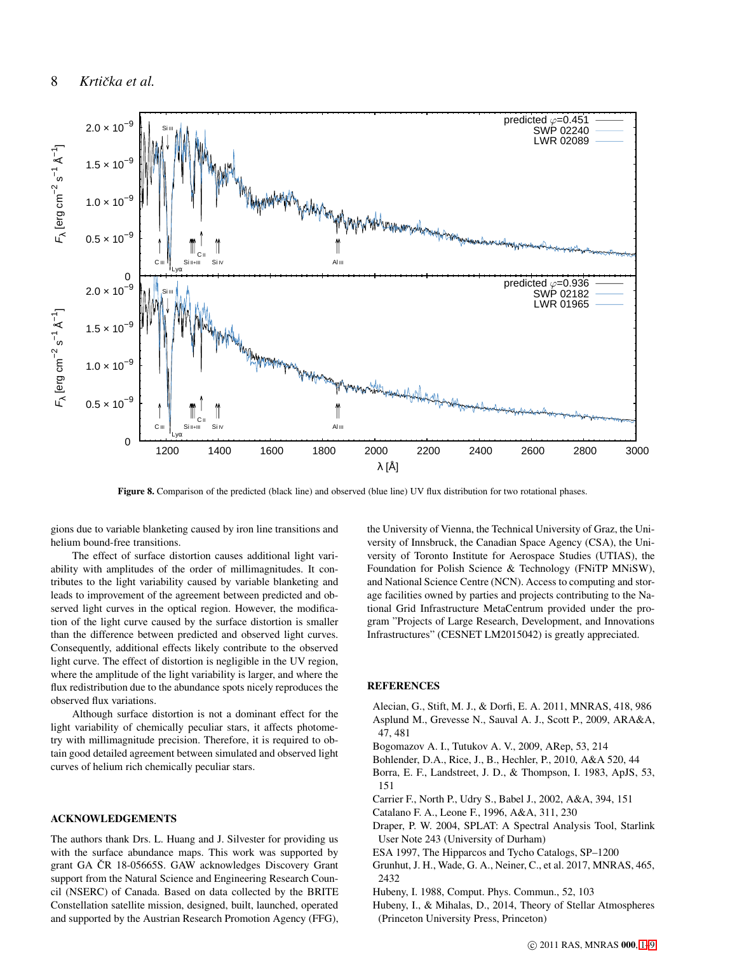

<span id="page-7-12"></span>Figure 8. Comparison of the predicted (black line) and observed (blue line) UV flux distribution for two rotational phases.

gions due to variable blanketing caused by iron line transitions and helium bound-free transitions.

The effect of surface distortion causes additional light variability with amplitudes of the order of millimagnitudes. It contributes to the light variability caused by variable blanketing and leads to improvement of the agreement between predicted and observed light curves in the optical region. However, the modification of the light curve caused by the surface distortion is smaller than the difference between predicted and observed light curves. Consequently, additional effects likely contribute to the observed light curve. The effect of distortion is negligible in the UV region, where the amplitude of the light variability is larger, and where the flux redistribution due to the abundance spots nicely reproduces the observed flux variations.

Although surface distortion is not a dominant effect for the light variability of chemically peculiar stars, it affects photometry with millimagnitude precision. Therefore, it is required to obtain good detailed agreement between simulated and observed light curves of helium rich chemically peculiar stars.

## ACKNOWLEDGEMENTS

The authors thank Drs. L. Huang and J. Silvester for providing us with the surface abundance maps. This work was supported by grant GA ČR 18-05665S. GAW acknowledges Discovery Grant support from the Natural Science and Engineering Research Council (NSERC) of Canada. Based on data collected by the BRITE Constellation satellite mission, designed, built, launched, operated and supported by the Austrian Research Promotion Agency (FFG), the University of Vienna, the Technical University of Graz, the University of Innsbruck, the Canadian Space Agency (CSA), the University of Toronto Institute for Aerospace Studies (UTIAS), the Foundation for Polish Science & Technology (FNiTP MNiSW), and National Science Centre (NCN). Access to computing and storage facilities owned by parties and projects contributing to the National Grid Infrastructure MetaCentrum provided under the program "Projects of Large Research, Development, and Innovations Infrastructures" (CESNET LM2015042) is greatly appreciated.

#### **REFERENCES**

- <span id="page-7-9"></span><span id="page-7-0"></span>Alecian, G., Stift, M. J., & Dorfi, E. A. 2011, MNRAS, 418, 986 Asplund M., Grevesse N., Sauval A. J., Scott P., 2009, ARA&A, 47, 481
- <span id="page-7-3"></span>Bogomazov A. I., Tutukov A. V., 2009, ARep, 53, 214
- <span id="page-7-4"></span>Bohlender, D.A., Rice, J., B., Hechler, P., 2010, A&A 520, 44
- <span id="page-7-7"></span>Borra, E. F., Landstreet, J. D., & Thompson, I. 1983, ApJS, 53, 151
- <span id="page-7-1"></span>Carrier F., North P., Udry S., Babel J., 2002, A&A, 394, 151
- <span id="page-7-5"></span>Catalano F. A., Leone F., 1996, A&A, 311, 230
- <span id="page-7-11"></span>Draper, P. W. 2004, SPLAT: A Spectral Analysis Tool, Starlink User Note 243 (University of Durham)
- <span id="page-7-6"></span>ESA 1997, The Hipparcos and Tycho Catalogs, SP–1200
- <span id="page-7-2"></span>Grunhut, J. H., Wade, G. A., Neiner, C., et al. 2017, MNRAS, 465, 2432
- <span id="page-7-8"></span>Hubeny, I. 1988, Comput. Phys. Commun., 52, 103
- <span id="page-7-10"></span>Hubeny, I., & Mihalas, D., 2014, Theory of Stellar Atmospheres (Princeton University Press, Princeton)